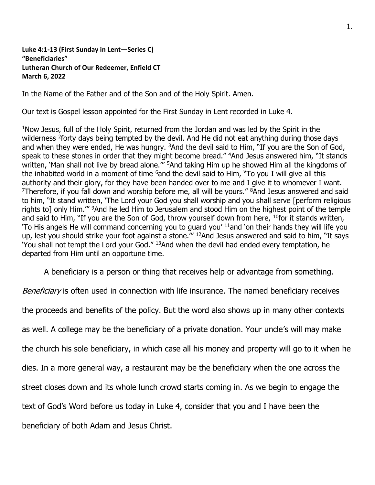**Luke 4:1-13 (First Sunday in Lent—Series C) "Beneficiaries" Lutheran Church of Our Redeemer, Enfield CT March 6, 2022**

In the Name of the Father and of the Son and of the Holy Spirit. Amen.

Our text is Gospel lesson appointed for the First Sunday in Lent recorded in Luke 4.

<sup>1</sup>Now Jesus, full of the Holy Spirit, returned from the Jordan and was led by the Spirit in the wilderness <sup>2</sup>forty days being tempted by the devil. And He did not eat anything during those days and when they were ended, He was hungry. <sup>3</sup>And the devil said to Him, "If you are the Son of God, speak to these stones in order that they might become bread." <sup>4</sup>And Jesus answered him, "It stands written, 'Man shall not live by bread alone."" <sup>5</sup>And taking Him up he showed Him all the kingdoms of the inhabited world in a moment of time  $6$  and the devil said to Him, "To you I will give all this authority and their glory, for they have been handed over to me and I give it to whomever I want. <sup>7</sup>Therefore, if you fall down and worship before me, all will be yours."  $8$ And Jesus answered and said to him, "It stand written, 'The Lord your God you shall worship and you shall serve [perform religious rights to] only Him."" <sup>9</sup>And he led Him to Jerusalem and stood Him on the highest point of the temple and said to Him, "If you are the Son of God, throw yourself down from here, <sup>10</sup>for it stands written, 'To His angels He will command concerning you to guard you' <sup>11</sup>and 'on their hands they will life you up, lest you should strike your foot against a stone." <sup>12</sup>And Jesus answered and said to him, "It says 'You shall not tempt the Lord your God." <sup>13</sup>And when the devil had ended every temptation, he departed from Him until an opportune time.

A beneficiary is a person or thing that receives help or advantage from something.

Beneficiary is often used in connection with life insurance. The named beneficiary receives the proceeds and benefits of the policy. But the word also shows up in many other contexts as well. A college may be the beneficiary of a private donation. Your uncle's will may make the church his sole beneficiary, in which case all his money and property will go to it when he dies. In a more general way, a restaurant may be the beneficiary when the one across the street closes down and its whole lunch crowd starts coming in. As we begin to engage the text of God's Word before us today in Luke 4, consider that you and I have been the beneficiary of both Adam and Jesus Christ.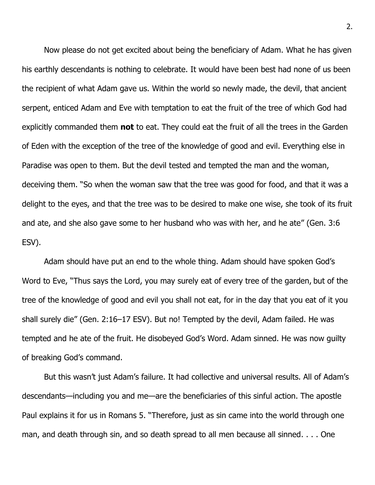Now please do not get excited about being the beneficiary of Adam. What he has given his earthly descendants is nothing to celebrate. It would have been best had none of us been the recipient of what Adam gave us. Within the world so newly made, the devil, that ancient serpent, enticed Adam and Eve with temptation to eat the fruit of the tree of which God had explicitly commanded them **not** to eat. They could eat the fruit of all the trees in the Garden of Eden with the exception of the tree of the knowledge of good and evil. Everything else in Paradise was open to them. But the devil tested and tempted the man and the woman, deceiving them. "So when the woman saw that the tree was good for food, and that it was a delight to the eyes, and that the tree was to be desired to make one wise, she took of its fruit and ate, and she also gave some to her husband who was with her, and he ate" (Gen. 3:6 ESV).

Adam should have put an end to the whole thing. Adam should have spoken God's Word to Eve, "Thus says the Lord, you may surely eat of every tree of the garden, but of the tree of the knowledge of good and evil you shall not eat, for in the day that you eat of it you shall surely die" (Gen. 2:16–17 ESV). But no! Tempted by the devil, Adam failed. He was tempted and he ate of the fruit. He disobeyed God's Word. Adam sinned. He was now guilty of breaking God's command.

But this wasn't just Adam's failure. It had collective and universal results. All of Adam's descendants—including you and me—are the beneficiaries of this sinful action. The apostle Paul explains it for us in Romans 5. "Therefore, just as sin came into the world through one man, and death through sin, and so death spread to all men because all sinned. . . . One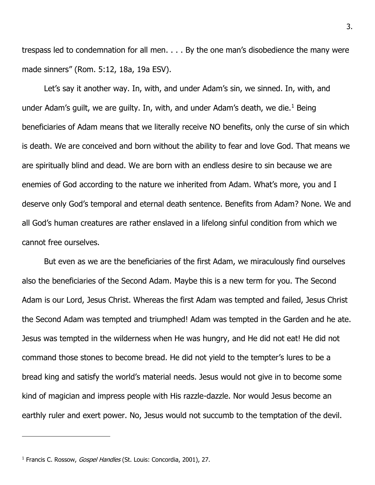trespass led to condemnation for all men. . . . By the one man's disobedience the many were made sinners" (Rom. 5:12, 18a, 19a ESV).

Let's say it another way. In, with, and under Adam's sin, we sinned. In, with, and under Adam's guilt, we are guilty. In, with, and under Adam's death, we die.<sup>1</sup> Being beneficiaries of Adam means that we literally receive NO benefits, only the curse of sin which is death. We are conceived and born without the ability to fear and love God. That means we are spiritually blind and dead. We are born with an endless desire to sin because we are enemies of God according to the nature we inherited from Adam. What's more, you and I deserve only God's temporal and eternal death sentence. Benefits from Adam? None. We and all God's human creatures are rather enslaved in a lifelong sinful condition from which we cannot free ourselves.

But even as we are the beneficiaries of the first Adam, we miraculously find ourselves also the beneficiaries of the Second Adam. Maybe this is a new term for you. The Second Adam is our Lord, Jesus Christ. Whereas the first Adam was tempted and failed, Jesus Christ the Second Adam was tempted and triumphed! Adam was tempted in the Garden and he ate. Jesus was tempted in the wilderness when He was hungry, and He did not eat! He did not command those stones to become bread. He did not yield to the tempter's lures to be a bread king and satisfy the world's material needs. Jesus would not give in to become some kind of magician and impress people with His razzle-dazzle. Nor would Jesus become an earthly ruler and exert power. No, Jesus would not succumb to the temptation of the devil.

<sup>&</sup>lt;sup>1</sup> Francis C. Rossow, *Gospel Handles* (St. Louis: Concordia, 2001), 27.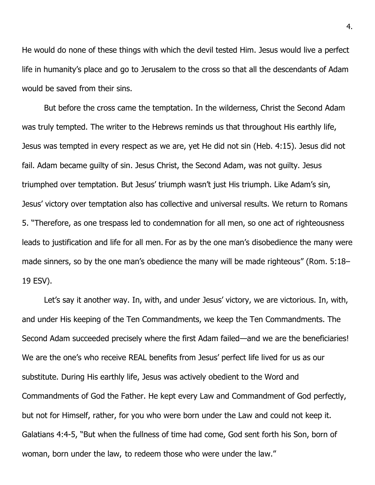He would do none of these things with which the devil tested Him. Jesus would live a perfect life in humanity's place and go to Jerusalem to the cross so that all the descendants of Adam would be saved from their sins.

But before the cross came the temptation. In the wilderness, Christ the Second Adam was truly tempted. The writer to the Hebrews reminds us that throughout His earthly life, Jesus was tempted in every respect as we are, yet He did not sin (Heb. 4:15). Jesus did not fail. Adam became guilty of sin. Jesus Christ, the Second Adam, was not guilty. Jesus triumphed over temptation. But Jesus' triumph wasn't just His triumph. Like Adam's sin, Jesus' victory over temptation also has collective and universal results. We return to Romans 5. "Therefore, as one trespass led to condemnation for all men, so one act of righteousness leads to justification and life for all men. For as by the one man's disobedience the many were made sinners, so by the one man's obedience the many will be made righteous" (Rom. 5:18– 19 ESV).

Let's say it another way. In, with, and under Jesus' victory, we are victorious. In, with, and under His keeping of the Ten Commandments, we keep the Ten Commandments. The Second Adam succeeded precisely where the first Adam failed—and we are the beneficiaries! We are the one's who receive REAL benefits from Jesus' perfect life lived for us as our substitute. During His earthly life, Jesus was actively obedient to the Word and Commandments of God the Father. He kept every Law and Commandment of God perfectly, but not for Himself, rather, for you who were born under the Law and could not keep it. Galatians 4:4-5, "But when the fullness of time had come, God sent forth his Son, born of woman, born under the law,to redeem those who were under the law."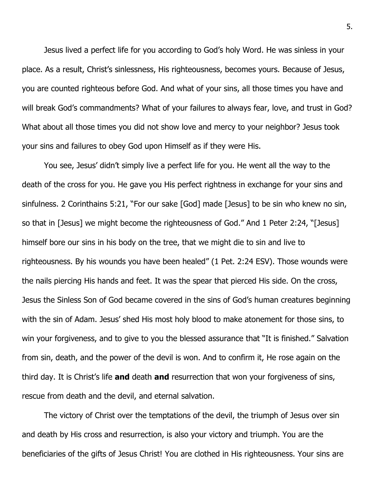Jesus lived a perfect life for you according to God's holy Word. He was sinless in your place. As a result, Christ's sinlessness, His righteousness, becomes yours. Because of Jesus, you are counted righteous before God. And what of your sins, all those times you have and will break God's commandments? What of your failures to always fear, love, and trust in God? What about all those times you did not show love and mercy to your neighbor? Jesus took your sins and failures to obey God upon Himself as if they were His.

You see, Jesus' didn't simply live a perfect life for you. He went all the way to the death of the cross for you. He gave you His perfect rightness in exchange for your sins and sinfulness. 2 Corinthains 5:21, "For our sake [God] made [Jesus] to be sin who knew no sin, so that in [Jesus] we might become the righteousness of God." And 1 Peter 2:24, "[Jesus] himself bore our sins in his body on the tree, that we might die to sin and live to righteousness. By his wounds you have been healed" (1 Pet. 2:24 ESV). Those wounds were the nails piercing His hands and feet. It was the spear that pierced His side. On the cross, Jesus the Sinless Son of God became covered in the sins of God's human creatures beginning with the sin of Adam. Jesus' shed His most holy blood to make atonement for those sins, to win your forgiveness, and to give to you the blessed assurance that "It is finished." Salvation from sin, death, and the power of the devil is won. And to confirm it, He rose again on the third day. It is Christ's life **and** death **and** resurrection that won your forgiveness of sins, rescue from death and the devil, and eternal salvation.

The victory of Christ over the temptations of the devil, the triumph of Jesus over sin and death by His cross and resurrection, is also your victory and triumph. You are the beneficiaries of the gifts of Jesus Christ! You are clothed in His righteousness. Your sins are